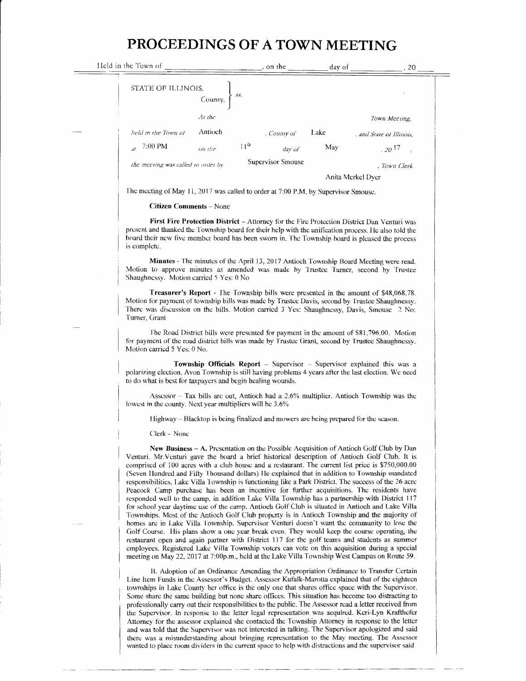## PROCEEDINGS OFATOWNMEETING

| Held in the Town of                  | on the                     | day of | -20                      |
|--------------------------------------|----------------------------|--------|--------------------------|
| STATE OF ILLINOIS,<br>SS.<br>County, |                            |        |                          |
| $At$ the                             |                            |        | Town Mccung,             |
| Antioch<br>held in the Town of       | , County of                | Lake   | , and State of Illinois. |
| 7:00 PM<br>$\overline{2t}$<br>on the | 11 <sup>th</sup><br>day of | May    | $.20^{17}$               |
| the meeting was called to order by   | Supervisor Smouse          |        | , Town Clerk.            |
|                                      |                            |        | Anita Merkel Dyer        |

The meeting of May 11, 2017 was called to order at 7:00 P.M. by Supervisor Smouse.

## Citizen Comments - None

First Fire Protection District - Attorney for the Fire Protection District Dan Venturi was present and thanked the Township board for their help with the unification process. He also told the board their new five member board has been sworn in. The Township board is pleased the process is complctc.

Minutes - The minutes of the April 13, 2017 Antioch Township Board Meeting were read. Motion to approve minutes as amended was made by Trustee Turner, second by Trustee Shaughnessy. Motion carried 5 Yes: 0 No

Treasurer's Report - Ihe 'fownship bills were presented in the amount of \$48.068.78. Motion for payment of township bills was made by Trustee Davis, second by Trustee Shaughnessy. There was discussion on the bills. Motion carried 3 Yes: Shaughnessy, Davis, Smouse 2 No: Turner. Grant

The Road District bills were presented for payment in the amount of \$81,796.00. Motion for payment of the road district bills was made by Trustee Grant, second by Trustee Shaughnessy. Motion carried 5 Yes: 0 No.

Township Officials Report  $-$  Supervisor  $-$  Supervisor explained this was a polarizing election. Avon Township is still having problems 4 years after the last election. We need to do what is best for taxpayers and begin healing wounds.

Assessor  $-$  Tax bills are out, Antioch had a 2.6% multiplier. Antioch Township was the lowest in the county. Next year multipliers will be 3.6%

Highway - Blacktop is being finalized and mowers are being prepared for the scason.

Clerk - None

New Business - A. Presentation on the Possible Acquisition of Antioch Golf Club by Dan Venturi. Mr-Venturi gave the board a brief historical description of Antioch Golf Club. It is comprised of 100 acres with a club housc and a rcstaurant. The currcnt list price is \$750,000.00 emphased of two decay with a state house and a resultant via carrier has price as considered to Township responsibilities. Lake Villa Township is functioning like a Park District. The success of the 26 acre Peacock Camp purchase has been an incentive for further acquisitions. The residents have responded well to the camp, in addition Lake Villa Township has a partnership with District 117 for school year daytime use of the camp. Antioch Golf Club is situated in Antioch and Lake Villa Townships. Most of the Antioch Goif Ciub propsrty is in Antioch Township and the majority of homes are in Lake Villa Township. Supervisor Venturi doesn't want the community to lose the Golf Course. His plans show a one year break even. They would keep the course operating, the rcstaurant open and again partner with District 117 for the golf teams and students as summer employees. Registered Lake Villa Township voters can vote on this acquisition during a special meeting on May 22, 2017 at 7:00p.m., held at the Lake Villa Township West Campus on Route 59.

13. Adoption of an Ordinance Amending the Appropriation Ordinance to Transter Certain Line ltem Funds in the Assessor's Budget. Assessor Kufalk-Marotta explained that of the eighteen townships in Lake County her office is the only one that shares office space with the Supervisor. Some share the same building but none share offices. This situation has become too distracting to professionally carry out their responsibilities to the public. The Assessor read a letter received from the Supervisor. In response to the letter legal representation was acquired. Kcri-Lyn Krafthefer Attorney for the assessor explained she contacted the Township Attorney in response to the letter and was told that the Superv'isor was not interested in talking. The Supcrvisor apologized and said there was a misunderstanding about bringing representation to the May meeting. The Assessor wanted to place room dividers in the current space to help with distractions and the supervisor said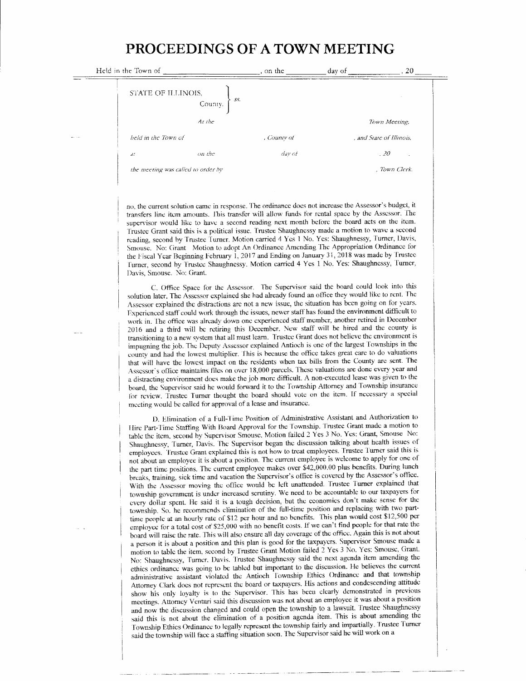## PROCEEDINGS OF A TOWN MEETING

| Held in the Town of                  | , on the    | day of | . 20                     |
|--------------------------------------|-------------|--------|--------------------------|
| STATE OF ILLINOIS,<br>SS.<br>County, |             |        |                          |
| At the                               |             |        | Town Meeting,            |
| held in the Town of                  | , County of |        | . and State of Illinois. |
| on the<br>$d\zeta$                   | day of      |        | .20                      |
| the meeting was called to order by   |             |        | . Town Clerk.            |

no, the current solution came in response. The ordinance does not increase the Assessor's budget, it transfers line item amounts. This transfer will allow funds for rental space by the Assessor. The supervisor would like to have a second reading next month before the board acts on the item. Trustee Grant said this is a political issue. Trustee Shaughnessy made a motion to wave a second reading, second by Trustee Turner. Motion carried 4 Yes 1 No. Yes: Shaughnessy, Turner, Davis, Smouse. No: Grant Motion to adopt An Ordinance Amending The Appropriation Ordinance for the Fiscal Year Beginning February 1, 2017 and Ending on January 31, 2018 was made by Trustee Turner, second by Trustee Shaughnessy. Motion carried 4 Yes 1 No. Yes: Shaughnessy, Turner, Davis, Smouse. No: Grant.

C. Office Space for the Assessor. The Supervisor said the board could look into this solution later. The Assessor explained she had already found an office they would like to rent. The Assessor explained the distractions are not a new issue, the situation has been going on for years. Experienced staff could work through the issues, newer staff has found the environment difficult to work in. The office was already down one experienced staff member, another retired in December 2016 and a third will be retiring this December. New staff will be hired and the county is transitioning to a new system that all must learn. Trustee Grant does not believe the environment is impugning the job. The Deputy Assessor explained Antioch is one of the largest Townships in the county and had the lowest multiplier. This is because the office takes great care to do valuations that will have the lowest impact on the residents when tax bills from the County are sent. The Assessor's office maintains files on over 18,000 parcels. These valuations are done every year and a distracting environment does make the job more difficult. A non-executed lease was given to the board, the Supervisor said he would forward it to the Township Attorney and Township insurance for review. Trustee Turner thought the board should vote on the item. If necessary a special meeting would be called for approval of a lease and insurance.

D. Elimination of a Full-Time Position of Administrative Assistant and Authorization to Hire Part-Time Staffing With Board Approval for the Township. Trustee Grant made a motion to table the item, second by Supervisor Smouse. Motion failed 2 Yes 3 No. Yes: Grant, Smouse No: Shaughnessy, Turner, Davis. The Supervisor began the discussion talking about health issues of employees. Trustee Grant explained this is not how to treat employees. Trustee Turner said this is not about an employee it is about a position. The current employee is welcome to apply for one of the part time positions. The current employee makes over \$42,000.00 plus benefits. During lunch breaks, training, sick time and vacation the Supervisor's office is covered by the Assessor's office. With the Assessor moving the office would be left unattended. Trustee Turner explained that township government is under increased serutiny. We need to be accountable to our taxpayers for every dollar spent. He said it is a tough decision, but the economics don't make sense for the township. So, he recommends climination of the full-time position and replacing with two parttime people at an hourly rate of \$12 per hour and no benefits. This plan would cost \$12,500 per employee for a total cost of \$25,000 with no benefit costs. If we can't find people for that rate the board will raise the rate. This will also ensure all day coverage of the office. Again this is not about a person it is about a position and this plan is good for the taxpayers. Supervisor Smouse made a motion to table the item, second by Trustee Grant Motion failed 2 Yes 3 No. Yes: Smouse, Grant. No: Shaughnessy, Turner. Davis. Trustee Shaughnessy said the next agenda item amending the ethics ordinance was going to be tabled but important to the discussion. He believes the current administrative assistant violated the Antioch Township Ethics Ordinance and that township Attorney Clark does not represent the board or taxpayers. His actions and condescending attitude show his only loyalty is to the Supervisor. This has been clearly demonstrated in previous meetings. Attorney Venturi said this discussion was not about an employee it was about a position and now the discussion changed and could open the township to a lawsuit. Trustee Shaughnessy said this is not about the elimination of a position agenda item. This is about amending the Township Ethics Ordinance to legally represent the township fairly and impartially. Trustee Turner said the township will face a staffing situation soon. The Supervisor said he will work on a

 $\equiv$